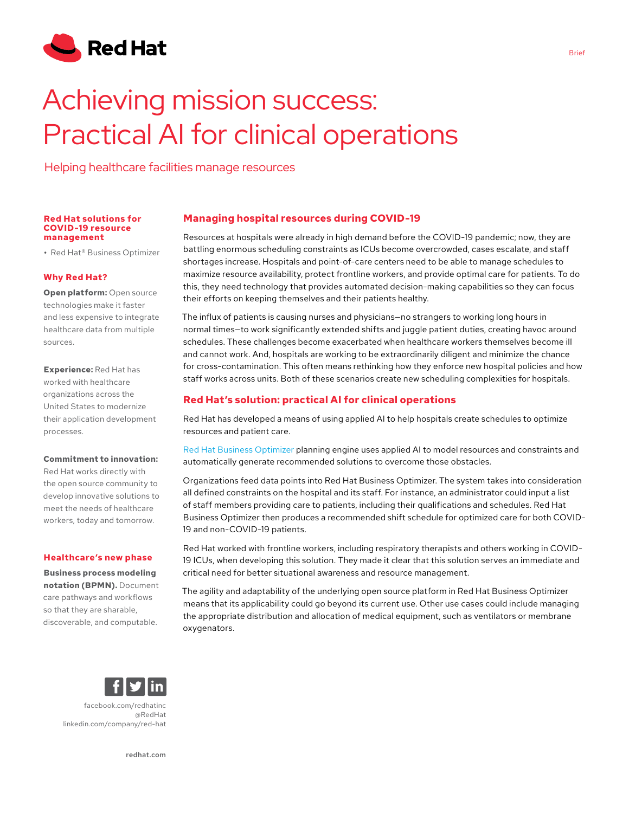

# Achieving mission success: Practical AI for clinical operations

Helping healthcare facilities manage resources

#### **Red Hat solutions for COVID-19 resource management**

**•** Red Hat® Business Optimizer

# **Why Red Hat?**

**Open platform: Open source** technologies make it faster and less expensive to integrate healthcare data from multiple sources.

**Experience:** Red Hat has worked with healthcare organizations across the United States to modernize their application development processes.

### **Commitment to innovation:**

Red Hat works directly with the open source community to develop innovative solutions to meet the needs of healthcare workers, today and tomorrow.

#### **Healthcare's new phase**

**Business process modeling notation (BPMN).** Document care pathways and workflows so that they are sharable, discoverable, and computable.



Resources at hospitals were already in high demand before the COVID-19 pandemic; now, they are battling enormous scheduling constraints as ICUs become overcrowded, cases escalate, and staff shortages increase. Hospitals and point-of-care centers need to be able to manage schedules to maximize resource availability, protect frontline workers, and provide optimal care for patients. To do this, they need technology that provides automated decision-making capabilities so they can focus their efforts on keeping themselves and their patients healthy.

The influx of patients is causing nurses and physicians—no strangers to working long hours in normal times—to work significantly extended shifts and juggle patient duties, creating havoc around schedules. These challenges become exacerbated when healthcare workers themselves become ill and cannot work. And, hospitals are working to be extraordinarily diligent and minimize the chance for cross-contamination. This often means rethinking how they enforce new hospital policies and how staff works across units. Both of these scenarios create new scheduling complexities for hospitals.

# **Red Hat's solution: practical AI for clinical operations**

Red Hat has developed a means of using applied AI to help hospitals create schedules to optimize resources and patient care.

[Red Hat Business Optimizer](https://access.redhat.com/documentation/en-us/red_hat_decision_manager/7.0/html/installing_and_configuring_red_hat_business_optimizer/optimizer-about-optimizer-con) planning engine uses applied AI to model resources and constraints and automatically generate recommended solutions to overcome those obstacles.

Organizations feed data points into Red Hat Business Optimizer. The system takes into consideration all defined constraints on the hospital and its staff. For instance, an administrator could input a list of staff members providing care to patients, including their qualifications and schedules. Red Hat Business Optimizer then produces a recommended shift schedule for optimized care for both COVID-19 and non-COVID-19 patients.

Red Hat worked with frontline workers, including respiratory therapists and others working in COVID-19 ICUs, when developing this solution. They made it clear that this solution serves an immediate and critical need for better situational awareness and resource management.

The agility and adaptability of the underlying open source platform in Red Hat Business Optimizer means that its applicability could go beyond its current use. Other use cases could include managing the appropriate distribution and allocation of medical equipment, such as ventilators or membrane oxygenators.



[facebook.com/redhatinc](http://facebook.com/redhatinc

) [@RedHat](https://twitter.com/redhatnews) [linkedin.com/company/red-hat](http://linkedin.com/company/red-hat
)

[redhat.com](http://redhat.com)